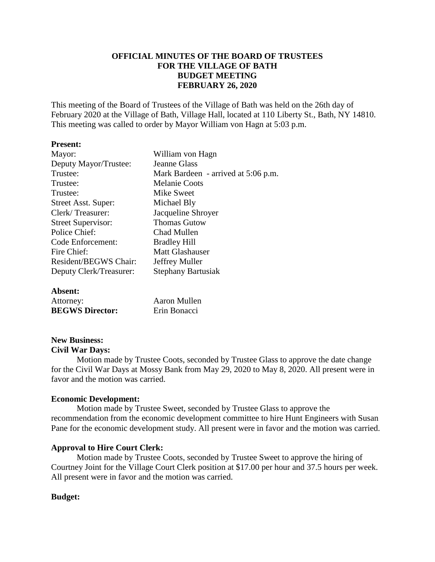# **OFFICIAL MINUTES OF THE BOARD OF TRUSTEES FOR THE VILLAGE OF BATH BUDGET MEETING FEBRUARY 26, 2020**

This meeting of the Board of Trustees of the Village of Bath was held on the 26th day of February 2020 at the Village of Bath, Village Hall, located at 110 Liberty St., Bath, NY 14810. This meeting was called to order by Mayor William von Hagn at 5:03 p.m.

### **Present:**

| Mayor:                    | William von Hagn                    |
|---------------------------|-------------------------------------|
| Deputy Mayor/Trustee:     | <b>Jeanne Glass</b>                 |
| Trustee:                  | Mark Bardeen - arrived at 5:06 p.m. |
| Trustee:                  | Melanie Coots                       |
| Trustee:                  | Mike Sweet                          |
| Street Asst. Super:       | Michael Bly                         |
| Clerk/Treasurer:          | Jacqueline Shroyer                  |
| <b>Street Supervisor:</b> | <b>Thomas Gutow</b>                 |
| Police Chief:             | Chad Mullen                         |
| Code Enforcement:         | <b>Bradley Hill</b>                 |
| Fire Chief:               | <b>Matt Glashauser</b>              |
| Resident/BEGWS Chair:     | Jeffrey Muller                      |
| Deputy Clerk/Treasurer:   | <b>Stephany Bartusiak</b>           |
|                           |                                     |

# **Absent:**

| ----------             |              |
|------------------------|--------------|
| Attorney:              | Aaron Mullen |
| <b>BEGWS Director:</b> | Erin Bonacci |

# **New Business:**

### **Civil War Days:**

Motion made by Trustee Coots, seconded by Trustee Glass to approve the date change for the Civil War Days at Mossy Bank from May 29, 2020 to May 8, 2020. All present were in favor and the motion was carried.

# **Economic Development:**

Motion made by Trustee Sweet, seconded by Trustee Glass to approve the recommendation from the economic development committee to hire Hunt Engineers with Susan Pane for the economic development study. All present were in favor and the motion was carried.

# **Approval to Hire Court Clerk:**

Motion made by Trustee Coots, seconded by Trustee Sweet to approve the hiring of Courtney Joint for the Village Court Clerk position at \$17.00 per hour and 37.5 hours per week. All present were in favor and the motion was carried.

# **Budget:**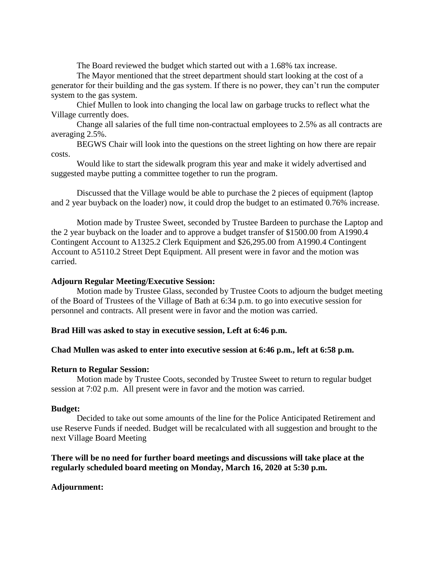The Board reviewed the budget which started out with a 1.68% tax increase.

The Mayor mentioned that the street department should start looking at the cost of a generator for their building and the gas system. If there is no power, they can't run the computer system to the gas system.

Chief Mullen to look into changing the local law on garbage trucks to reflect what the Village currently does.

Change all salaries of the full time non-contractual employees to 2.5% as all contracts are averaging 2.5%.

BEGWS Chair will look into the questions on the street lighting on how there are repair costs.

Would like to start the sidewalk program this year and make it widely advertised and suggested maybe putting a committee together to run the program.

Discussed that the Village would be able to purchase the 2 pieces of equipment (laptop and 2 year buyback on the loader) now, it could drop the budget to an estimated 0.76% increase.

Motion made by Trustee Sweet, seconded by Trustee Bardeen to purchase the Laptop and the 2 year buyback on the loader and to approve a budget transfer of \$1500.00 from A1990.4 Contingent Account to A1325.2 Clerk Equipment and \$26,295.00 from A1990.4 Contingent Account to A5110.2 Street Dept Equipment. All present were in favor and the motion was carried.

### **Adjourn Regular Meeting/Executive Session:**

Motion made by Trustee Glass, seconded by Trustee Coots to adjourn the budget meeting of the Board of Trustees of the Village of Bath at 6:34 p.m. to go into executive session for personnel and contracts. All present were in favor and the motion was carried.

# **Brad Hill was asked to stay in executive session, Left at 6:46 p.m.**

# **Chad Mullen was asked to enter into executive session at 6:46 p.m., left at 6:58 p.m.**

### **Return to Regular Session:**

Motion made by Trustee Coots, seconded by Trustee Sweet to return to regular budget session at 7:02 p.m. All present were in favor and the motion was carried.

### **Budget:**

Decided to take out some amounts of the line for the Police Anticipated Retirement and use Reserve Funds if needed. Budget will be recalculated with all suggestion and brought to the next Village Board Meeting

# **There will be no need for further board meetings and discussions will take place at the regularly scheduled board meeting on Monday, March 16, 2020 at 5:30 p.m.**

# **Adjournment:**